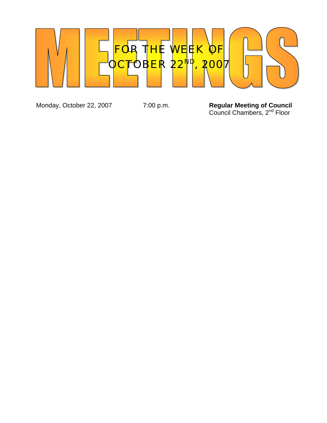

Monday, October 22, 2007 7:00 p.m. **Regular Meeting of Council**  *Council Chambers, 2<sup>nd</sup> Floor*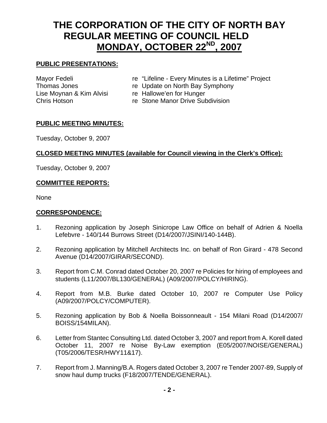# **THE CORPORATION OF THE CITY OF NORTH BAY REGULAR MEETING OF COUNCIL HELD MONDAY, OCTOBER 22ND, 2007**

# **PUBLIC PRESENTATIONS:**

Lise Moynan & Kim Alvisi re Hallowe'en for Hunger

- Mayor Fedeli re "Lifeline Every Minutes is a Lifetime" Project
- Thomas Jones re Update on North Bay Symphony
	-
- Chris Hotson **Reading Chris Hotson** reading Stone Manor Drive Subdivision

#### **PUBLIC MEETING MINUTES:**

Tuesday, October 9, 2007

# **CLOSED MEETING MINUTES (available for Council viewing in the Clerk's Office):**

Tuesday, October 9, 2007

# **COMMITTEE REPORTS:**

None

#### **CORRESPONDENCE:**

- 1. Rezoning application by Joseph Sinicrope Law Office on behalf of Adrien & Noella Lefebvre - 140/144 Burrows Street (D14/2007/JSINI/140-144B).
- 2. Rezoning application by Mitchell Architects Inc. on behalf of Ron Girard 478 Second Avenue (D14/2007/GIRAR/SECOND).
- 3. Report from C.M. Conrad dated October 20, 2007 re Policies for hiring of employees and students (L11/2007/BL130/GENERAL) (A09/2007/POLCY/HIRING).
- 4. Report from M.B. Burke dated October 10, 2007 re Computer Use Policy (A09/2007/POLCY/COMPUTER).
- 5. Rezoning application by Bob & Noella Boissonneault 154 Milani Road (D14/2007/ BOISS/154MILAN).
- 6. Letter from Stantec Consulting Ltd. dated October 3, 2007 and report from A. Korell dated October 11, 2007 re Noise By-Law exemption (E05/2007/NOISE/GENERAL) (T05/2006/TESR/HWY11&17).
- 7. Report from J. Manning/B.A. Rogers dated October 3, 2007 re Tender 2007-89, Supply of snow haul dump trucks (F18/2007/TENDE/GENERAL).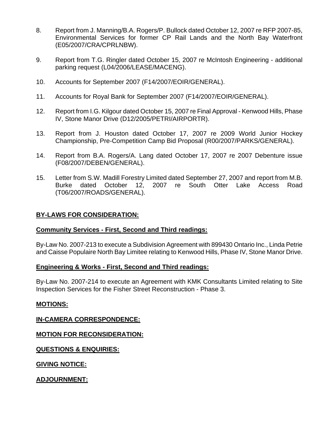- 8. Report from J. Manning/B.A. Rogers/P. Bullock dated October 12, 2007 re RFP 2007-85, Environmental Services for former CP Rail Lands and the North Bay Waterfront (E05/2007/CRA/CPRLNBW).
- 9. Report from T.G. Ringler dated October 15, 2007 re McIntosh Engineering additional parking request (L04/2006/LEASE/MACENG).
- 10. Accounts for September 2007 (F14/2007/EOIR/GENERAL).
- 11. Accounts for Royal Bank for September 2007 (F14/2007/EOIR/GENERAL).
- 12. Report from I.G. Kilgour dated October 15, 2007 re Final Approval Kenwood Hills, Phase IV, Stone Manor Drive (D12/2005/PETRI/AIRPORTR).
- 13. Report from J. Houston dated October 17, 2007 re 2009 World Junior Hockey Championship, Pre-Competition Camp Bid Proposal (R00/2007/PARKS/GENERAL).
- 14. Report from B.A. Rogers/A. Lang dated October 17, 2007 re 2007 Debenture issue (F08/2007/DEBEN/GENERAL).
- 15. Letter from S.W. Madill Forestry Limited dated September 27, 2007 and report from M.B. Burke dated October 12, 2007 re South Otter Lake Access Road (T06/2007/ROADS/GENERAL).

#### **BY-LAWS FOR CONSIDERATION:**

#### **Community Services - First, Second and Third readings:**

By-Law No. 2007-213 to execute a Subdivision Agreement with 899430 Ontario Inc., Linda Petrie and Caisse Populaire North Bay Limitee relating to Kenwood Hills, Phase IV, Stone Manor Drive.

#### **Engineering & Works - First, Second and Third readings:**

By-Law No. 2007-214 to execute an Agreement with KMK Consultants Limited relating to Site Inspection Services for the Fisher Street Reconstruction - Phase 3.

#### **MOTIONS:**

**IN-CAMERA CORRESPONDENCE:**

**MOTION FOR RECONSIDERATION:**

**QUESTIONS & ENQUIRIES:**

**GIVING NOTICE:**

**ADJOURNMENT:**